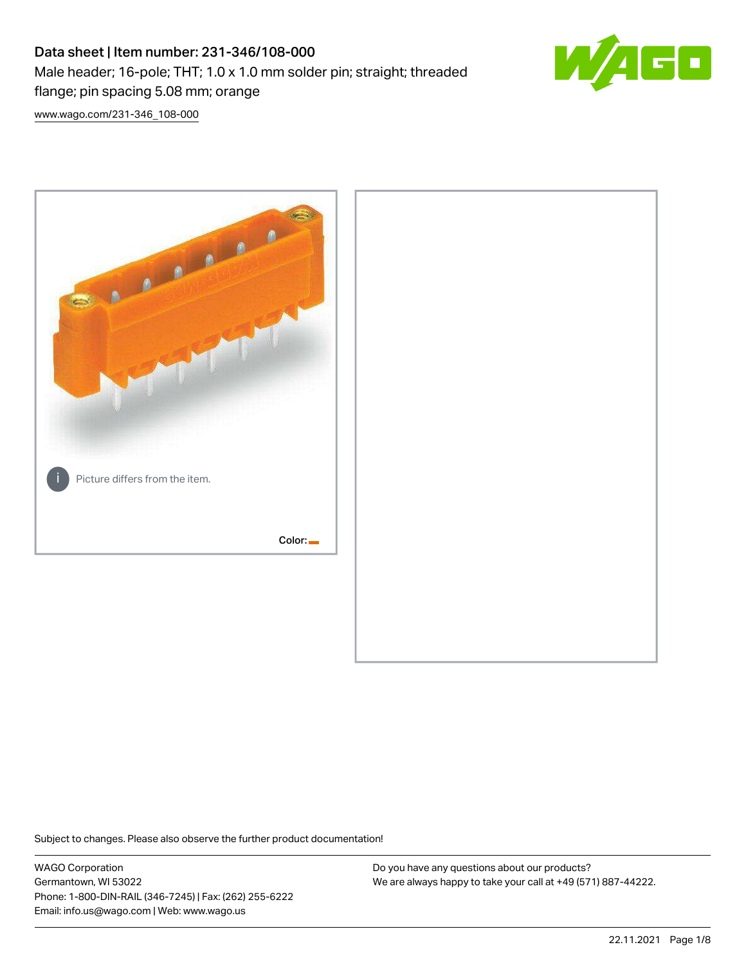# Data sheet | Item number: 231-346/108-000 Male header; 16-pole; THT; 1.0 x 1.0 mm solder pin; straight; threaded flange; pin spacing 5.08 mm; orange



[www.wago.com/231-346\\_108-000](http://www.wago.com/231-346_108-000)



Subject to changes. Please also observe the further product documentation!

WAGO Corporation Germantown, WI 53022 Phone: 1-800-DIN-RAIL (346-7245) | Fax: (262) 255-6222 Email: info.us@wago.com | Web: www.wago.us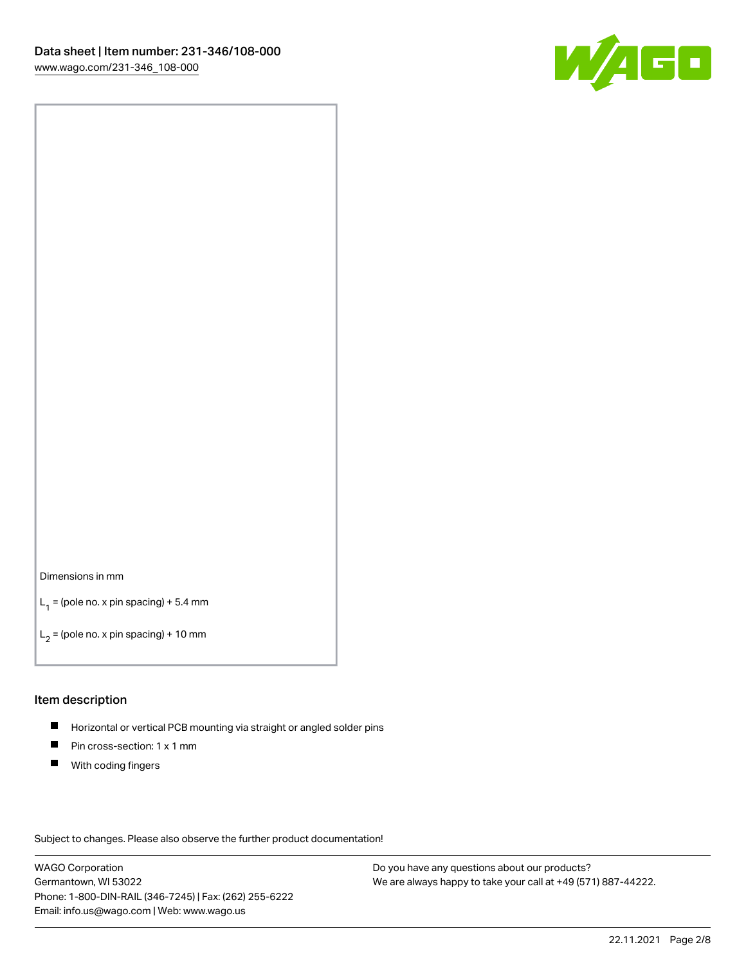

#### Dimensions in mm

 $L_1$  = (pole no. x pin spacing) + 5.4 mm

 $L_2$  = (pole no. x pin spacing) + 10 mm

#### Item description

- $\blacksquare$ Horizontal or vertical PCB mounting via straight or angled solder pins
- $\blacksquare$ Pin cross-section: 1 x 1 mm
- $\blacksquare$ With coding fingers

Subject to changes. Please also observe the further product documentation!

WAGO Corporation Germantown, WI 53022 Phone: 1-800-DIN-RAIL (346-7245) | Fax: (262) 255-6222 Email: info.us@wago.com | Web: www.wago.us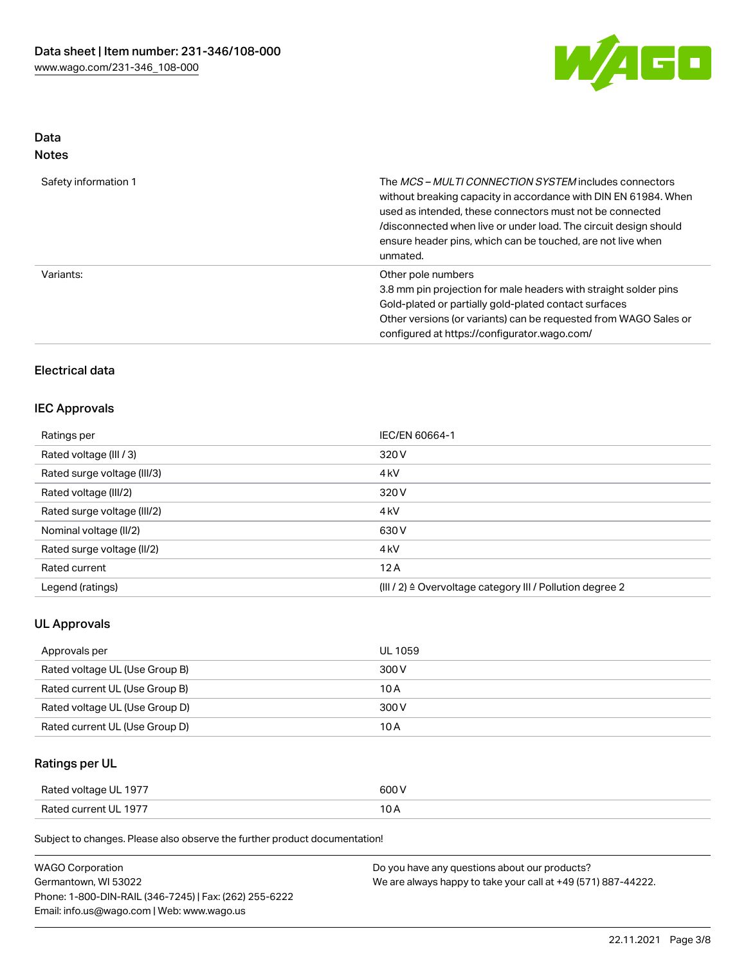

# Data Notes

| Safety information 1 | The <i>MCS – MULTI CONNECTION SYSTEM</i> includes connectors<br>without breaking capacity in accordance with DIN EN 61984. When<br>used as intended, these connectors must not be connected<br>/disconnected when live or under load. The circuit design should<br>ensure header pins, which can be touched, are not live when<br>unmated. |
|----------------------|--------------------------------------------------------------------------------------------------------------------------------------------------------------------------------------------------------------------------------------------------------------------------------------------------------------------------------------------|
| Variants:            | Other pole numbers<br>3.8 mm pin projection for male headers with straight solder pins<br>Gold-plated or partially gold-plated contact surfaces<br>Other versions (or variants) can be requested from WAGO Sales or<br>configured at https://configurator.wago.com/                                                                        |

# Electrical data

# IEC Approvals

| Ratings per                 | IEC/EN 60664-1                                            |
|-----------------------------|-----------------------------------------------------------|
| Rated voltage (III / 3)     | 320 V                                                     |
| Rated surge voltage (III/3) | 4 <sub>kV</sub>                                           |
| Rated voltage (III/2)       | 320 V                                                     |
| Rated surge voltage (III/2) | 4 <sub>kV</sub>                                           |
| Nominal voltage (II/2)      | 630 V                                                     |
| Rated surge voltage (II/2)  | 4 <sub>k</sub> V                                          |
| Rated current               | 12A                                                       |
| Legend (ratings)            | (III / 2) ≙ Overvoltage category III / Pollution degree 2 |

# UL Approvals

| Approvals per                  | UL 1059 |
|--------------------------------|---------|
| Rated voltage UL (Use Group B) | 300 V   |
| Rated current UL (Use Group B) | 10 A    |
| Rated voltage UL (Use Group D) | 300 V   |
| Rated current UL (Use Group D) | 10 A    |

# Ratings per UL

| Rated voltage UL 1977 | 600 V |
|-----------------------|-------|
| Rated current UL 1977 |       |

Subject to changes. Please also observe the further product documentation!

| <b>WAGO Corporation</b>                                | Do you have any questions about our products?                 |
|--------------------------------------------------------|---------------------------------------------------------------|
| Germantown, WI 53022                                   | We are always happy to take your call at +49 (571) 887-44222. |
| Phone: 1-800-DIN-RAIL (346-7245)   Fax: (262) 255-6222 |                                                               |
| Email: info.us@wago.com   Web: www.wago.us             |                                                               |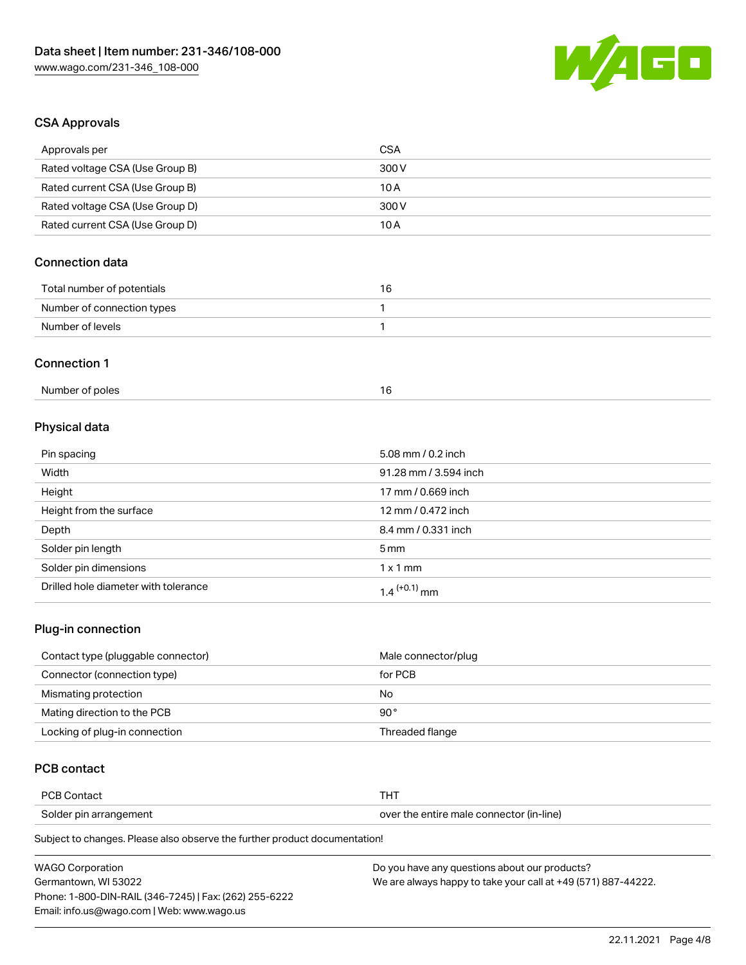

## CSA Approvals

| Approvals per                   | <b>CSA</b>            |  |
|---------------------------------|-----------------------|--|
| Rated voltage CSA (Use Group B) | 300 V                 |  |
| Rated current CSA (Use Group B) | 10A                   |  |
| Rated voltage CSA (Use Group D) | 300V                  |  |
| Rated current CSA (Use Group D) | 10A                   |  |
| <b>Connection data</b>          |                       |  |
| Total number of potentials      | 16                    |  |
| Number of connection types      | $\mathbf{1}$          |  |
| Number of levels                | $\mathbf{1}$          |  |
| <b>Connection 1</b>             |                       |  |
| Number of poles                 | 16                    |  |
| Physical data                   |                       |  |
| Pin spacing                     | 5.08 mm / 0.2 inch    |  |
| Width                           | 91.28 mm / 3.594 inch |  |
| Height                          | 17 mm / 0.669 inch    |  |
| Height from the surface         | 12 mm / 0.472 inch    |  |
| Depth                           | 8.4 mm / 0.331 inch   |  |
| Solder pin length               | 5 <sub>mm</sub>       |  |
| Solder pin dimensions           | $1 \times 1$ mm       |  |

# Plug-in connection

| Contact type (pluggable connector) | Male connector/plug |
|------------------------------------|---------------------|
| Connector (connection type)        | for PCB             |
| Mismating protection               | No                  |
| Mating direction to the PCB        | 90°                 |
| Locking of plug-in connection      | Threaded flange     |

## PCB contact

| PCB Contact            |                                          |
|------------------------|------------------------------------------|
| Solder pin arrangement | over the entire male connector (in-line) |

Subject to changes. Please also observe the further product documentation!

Drilled hole diameter with tolerance  $1.4$   $(+0.1)$  mm

| <b>WAGO Corporation</b>                                | Do you have any questions about our products?                 |
|--------------------------------------------------------|---------------------------------------------------------------|
| Germantown, WI 53022                                   | We are always happy to take your call at +49 (571) 887-44222. |
| Phone: 1-800-DIN-RAIL (346-7245)   Fax: (262) 255-6222 |                                                               |
| Email: info.us@wago.com   Web: www.wago.us             |                                                               |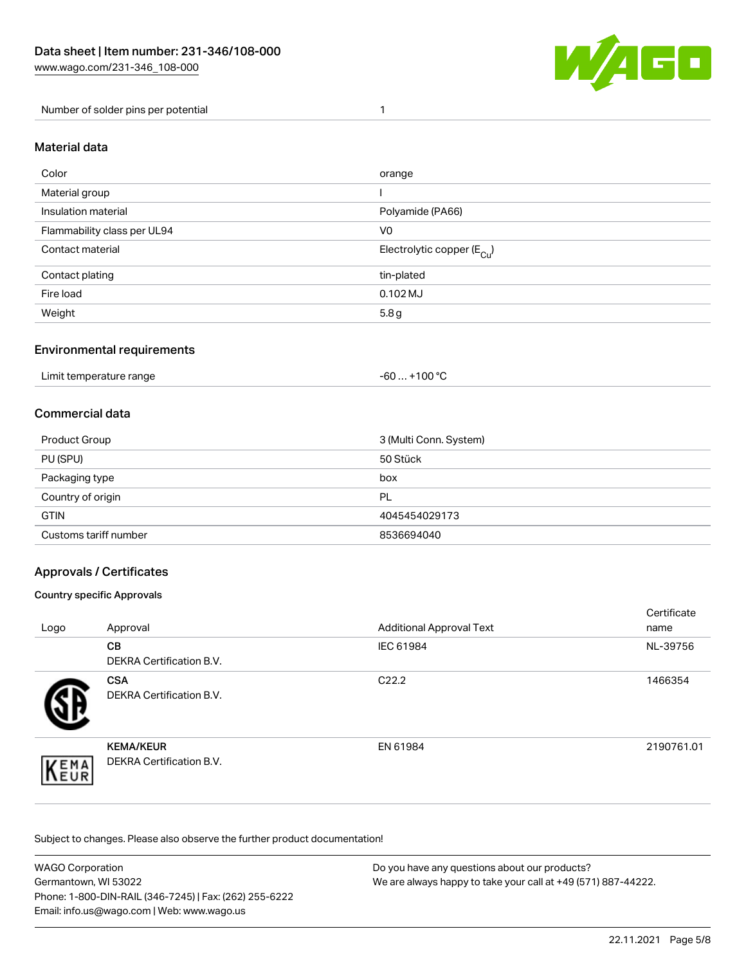

#### Number of solder pins per potential 1

#### Material data

| Color                       | orange                                 |
|-----------------------------|----------------------------------------|
| Material group              |                                        |
| Insulation material         | Polyamide (PA66)                       |
| Flammability class per UL94 | V <sub>0</sub>                         |
| Contact material            | Electrolytic copper (E <sub>Cu</sub> ) |
| Contact plating             | tin-plated                             |
| Fire load                   | $0.102$ MJ                             |
| Weight                      | 5.8g                                   |

#### Environmental requirements

Limit temperature range  $-60...+100 °C$ 

#### Commercial data

| Product Group         | 3 (Multi Conn. System) |
|-----------------------|------------------------|
| PU (SPU)              | 50 Stück               |
| Packaging type        | box                    |
| Country of origin     | PL                     |
| <b>GTIN</b>           | 4045454029173          |
| Customs tariff number | 8536694040             |

## Approvals / Certificates

#### Country specific Approvals

| Logo                | Approval                                            | <b>Additional Approval Text</b> | Certificate<br>name |
|---------------------|-----------------------------------------------------|---------------------------------|---------------------|
|                     | <b>CB</b><br><b>DEKRA Certification B.V.</b>        | IEC 61984                       | NL-39756            |
|                     | <b>CSA</b><br>DEKRA Certification B.V.              | C <sub>22.2</sub>               | 1466354             |
| EMA<br><b>INEUR</b> | <b>KEMA/KEUR</b><br><b>DEKRA Certification B.V.</b> | EN 61984                        | 2190761.01          |

Subject to changes. Please also observe the further product documentation!

| <b>WAGO Corporation</b>                                | Do you have any questions about our products?                 |
|--------------------------------------------------------|---------------------------------------------------------------|
| Germantown, WI 53022                                   | We are always happy to take your call at +49 (571) 887-44222. |
| Phone: 1-800-DIN-RAIL (346-7245)   Fax: (262) 255-6222 |                                                               |
| Email: info.us@wago.com   Web: www.wago.us             |                                                               |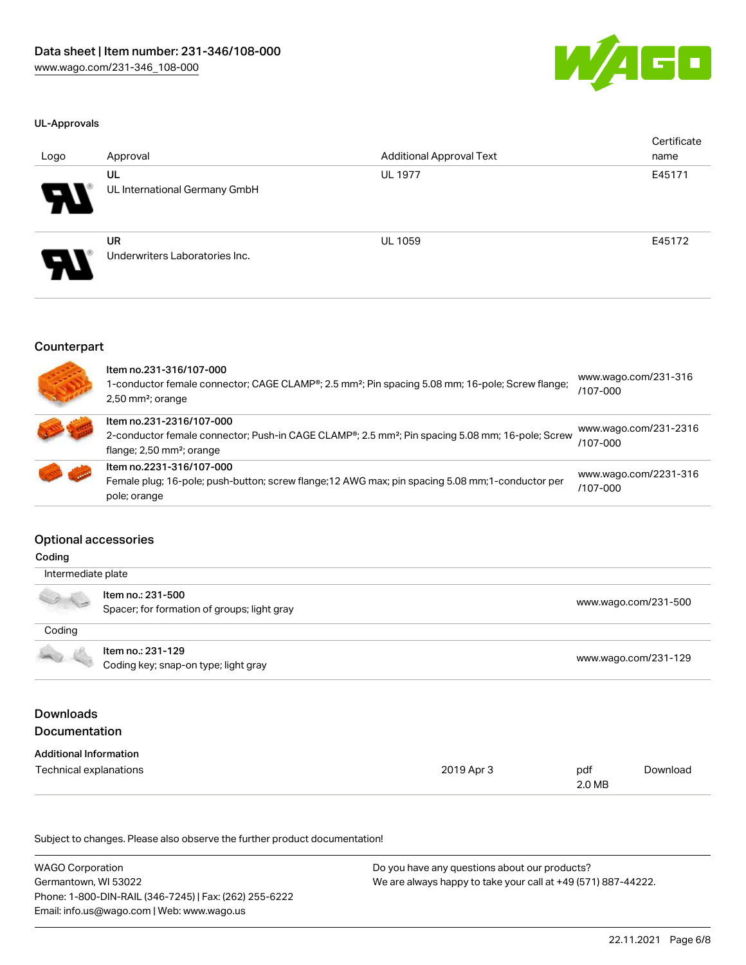

#### UL-Approvals

| Logo | Approval                                    | <b>Additional Approval Text</b> | Certificate<br>name |
|------|---------------------------------------------|---------------------------------|---------------------|
| Я.   | UL<br>UL International Germany GmbH         | <b>UL 1977</b>                  | E45171              |
| P.   | <b>UR</b><br>Underwriters Laboratories Inc. | <b>UL 1059</b>                  | E45172              |

#### Counterpart

| Item no.231-316/107-000<br>1-conductor female connector; CAGE CLAMP®; 2.5 mm <sup>2</sup> ; Pin spacing 5.08 mm; 16-pole; Screw flange;<br>$2,50$ mm <sup>2</sup> ; orange          | www.wago.com/231-316<br>/107-000  |
|-------------------------------------------------------------------------------------------------------------------------------------------------------------------------------------|-----------------------------------|
| Item no.231-2316/107-000<br>2-conductor female connector; Push-in CAGE CLAMP®; 2.5 mm <sup>2</sup> ; Pin spacing 5.08 mm; 16-pole; Screw<br>flange; $2,50$ mm <sup>2</sup> ; orange | www.wago.com/231-2316<br>/107-000 |
| Item no.2231-316/107-000<br>Female plug; 16-pole; push-button; screw flange; 12 AWG max; pin spacing 5.08 mm; 1-conductor per<br>pole; orange                                       | www.wago.com/2231-316<br>/107-000 |

#### Optional accessories

É

| Intermediate plate            |                                                                  |            |                      |                      |  |  |
|-------------------------------|------------------------------------------------------------------|------------|----------------------|----------------------|--|--|
|                               | Item no.: 231-500<br>Spacer; for formation of groups; light gray |            |                      | www.wago.com/231-500 |  |  |
| Coding                        |                                                                  |            |                      |                      |  |  |
|                               | Item no.: 231-129<br>Coding key; snap-on type; light gray        |            | www.wago.com/231-129 |                      |  |  |
| <b>Downloads</b>              |                                                                  |            |                      |                      |  |  |
| <b>Documentation</b>          |                                                                  |            |                      |                      |  |  |
| <b>Additional Information</b> |                                                                  |            |                      |                      |  |  |
| Technical explanations        |                                                                  | 2019 Apr 3 | pdf                  | Download             |  |  |

Subject to changes. Please also observe the further product documentation!

| <b>WAGO Corporation</b>                                | Do you have any questions about our products?                 |
|--------------------------------------------------------|---------------------------------------------------------------|
| Germantown, WI 53022                                   | We are always happy to take your call at +49 (571) 887-44222. |
| Phone: 1-800-DIN-RAIL (346-7245)   Fax: (262) 255-6222 |                                                               |
| Email: info.us@wago.com   Web: www.wago.us             |                                                               |

2.0 MB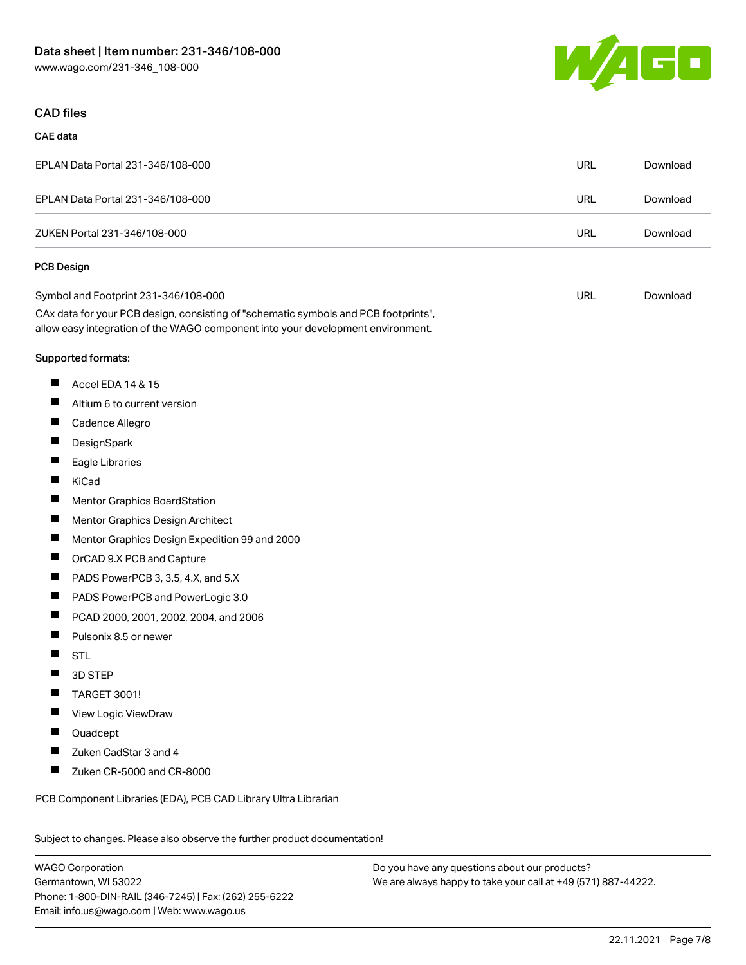

# CAD files

#### CAE data

| EPLAN Data Portal 231-346/108-000 | URL | Download |
|-----------------------------------|-----|----------|
| EPLAN Data Portal 231-346/108-000 | URL | Download |
| ZUKEN Portal 231-346/108-000      | URL | Download |

#### PCB Design

| Symbol and Footprint 231-346/108-000                                                | URL | Download |
|-------------------------------------------------------------------------------------|-----|----------|
| CAx data for your PCB design, consisting of "schematic symbols and PCB footprints", |     |          |
| allow easy integration of the WAGO component into your development environment.     |     |          |

#### Supported formats:

- $\blacksquare$ Accel EDA 14 & 15
- $\blacksquare$ Altium 6 to current version
- $\blacksquare$ Cadence Allegro
- П **DesignSpark**
- $\blacksquare$ Eagle Libraries
- $\blacksquare$ KiCad
- $\blacksquare$ Mentor Graphics BoardStation
- $\blacksquare$ Mentor Graphics Design Architect
- $\blacksquare$ Mentor Graphics Design Expedition 99 and 2000
- $\blacksquare$ OrCAD 9.X PCB and Capture
- $\blacksquare$ PADS PowerPCB 3, 3.5, 4.X, and 5.X
- $\blacksquare$ PADS PowerPCB and PowerLogic 3.0
- $\blacksquare$ PCAD 2000, 2001, 2002, 2004, and 2006
- $\blacksquare$ Pulsonix 8.5 or newer
- $\blacksquare$ STL
- $\blacksquare$ 3D STEP
- $\blacksquare$ TARGET 3001!
- $\blacksquare$ View Logic ViewDraw
- $\blacksquare$ Quadcept
- $\blacksquare$ Zuken CadStar 3 and 4
- $\blacksquare$ Zuken CR-5000 and CR-8000

PCB Component Libraries (EDA), PCB CAD Library Ultra Librarian

Subject to changes. Please also observe the further product documentation!

WAGO Corporation Germantown, WI 53022 Phone: 1-800-DIN-RAIL (346-7245) | Fax: (262) 255-6222 Email: info.us@wago.com | Web: www.wago.us